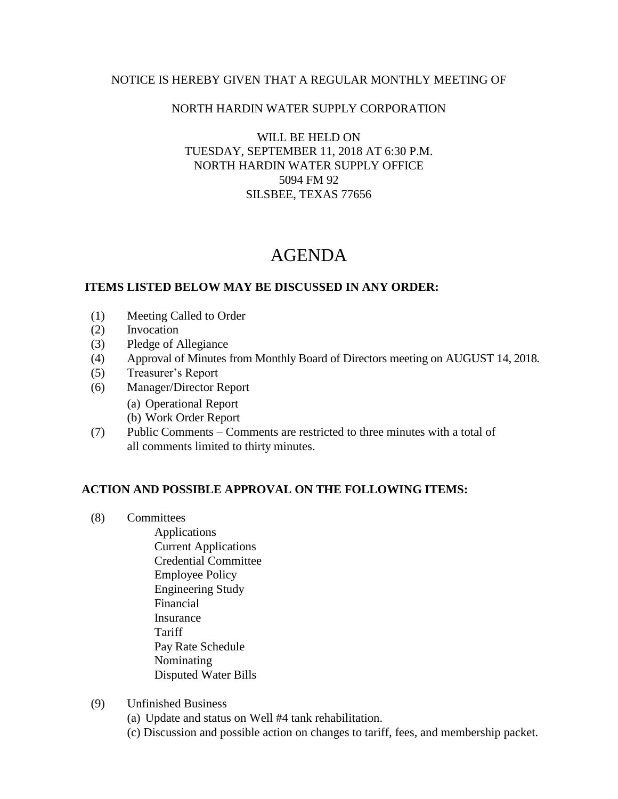#### NOTICE IS HEREBY GIVEN THAT A REGULAR MONTHLY MEETING OF

### NORTH HARDIN WATER SUPPLY CORPORATION

### WILL BE HELD ON TUESDAY, SEPTEMBER 11, 2018 AT 6:30 P.M. NORTH HARDIN WATER SUPPLY OFFICE 5094 FM 92 SILSBEE, TEXAS 77656

# AGENDA

### **ITEMS LISTED BELOW MAY BE DISCUSSED IN ANY ORDER:**

- (1) Meeting Called to Order
- (2) Invocation
- (3) Pledge of Allegiance
- (4) Approval of Minutes from Monthly Board of Directors meeting on AUGUST 14, 2018.
- (5) Treasurer's Report
- (6) Manager/Director Report
	- (a) Operational Report
	- (b) Work Order Report
- (7) Public Comments Comments are restricted to three minutes with a total of all comments limited to thirty minutes.

## **ACTION AND POSSIBLE APPROVAL ON THE FOLLOWING ITEMS:**

- (8) Committees
	- Applications Current Applications Credential Committee Employee Policy Engineering Study Financial Insurance **Tariff**  Pay Rate Schedule Nominating Disputed Water Bills
- (9) Unfinished Business
	- (a) Update and status on Well #4 tank rehabilitation.
	- (c) Discussion and possible action on changes to tariff, fees, and membership packet.